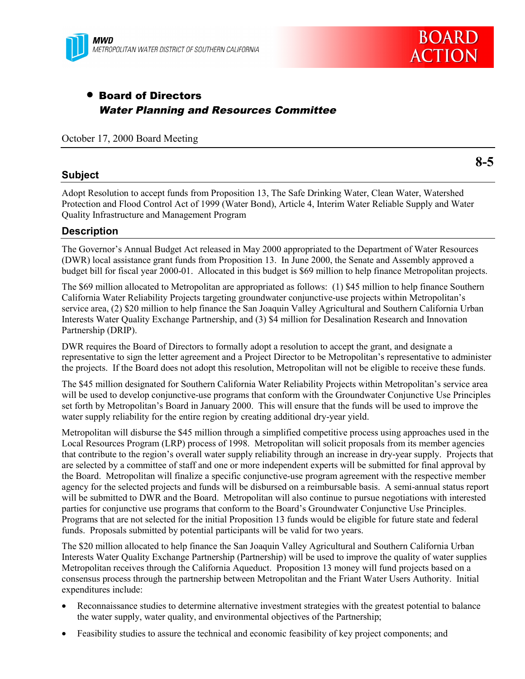

# • Board of Directors Water Planning and Resources Committee

October 17, 2000 Board Meeting

### **Subject**

**8-5**

Adopt Resolution to accept funds from Proposition 13, The Safe Drinking Water, Clean Water, Watershed Protection and Flood Control Act of 1999 (Water Bond), Article 4, Interim Water Reliable Supply and Water Quality Infrastructure and Management Program

# **Description**

The Governor's Annual Budget Act released in May 2000 appropriated to the Department of Water Resources (DWR) local assistance grant funds from Proposition 13. In June 2000, the Senate and Assembly approved a budget bill for fiscal year 2000-01. Allocated in this budget is \$69 million to help finance Metropolitan projects.

The \$69 million allocated to Metropolitan are appropriated as follows: (1) \$45 million to help finance Southern California Water Reliability Projects targeting groundwater conjunctive-use projects within Metropolitan's service area, (2) \$20 million to help finance the San Joaquin Valley Agricultural and Southern California Urban Interests Water Quality Exchange Partnership, and (3) \$4 million for Desalination Research and Innovation Partnership (DRIP).

DWR requires the Board of Directors to formally adopt a resolution to accept the grant, and designate a representative to sign the letter agreement and a Project Director to be Metropolitan's representative to administer the projects. If the Board does not adopt this resolution, Metropolitan will not be eligible to receive these funds.

The \$45 million designated for Southern California Water Reliability Projects within Metropolitan's service area will be used to develop conjunctive-use programs that conform with the Groundwater Conjunctive Use Principles set forth by Metropolitan's Board in January 2000. This will ensure that the funds will be used to improve the water supply reliability for the entire region by creating additional dry-year yield.

Metropolitan will disburse the \$45 million through a simplified competitive process using approaches used in the Local Resources Program (LRP) process of 1998. Metropolitan will solicit proposals from its member agencies that contribute to the region's overall water supply reliability through an increase in dry-year supply. Projects that are selected by a committee of staff and one or more independent experts will be submitted for final approval by the Board. Metropolitan will finalize a specific conjunctive-use program agreement with the respective member agency for the selected projects and funds will be disbursed on a reimbursable basis. A semi-annual status report will be submitted to DWR and the Board. Metropolitan will also continue to pursue negotiations with interested parties for conjunctive use programs that conform to the Board's Groundwater Conjunctive Use Principles. Programs that are not selected for the initial Proposition 13 funds would be eligible for future state and federal funds. Proposals submitted by potential participants will be valid for two years.

The \$20 million allocated to help finance the San Joaquin Valley Agricultural and Southern California Urban Interests Water Quality Exchange Partnership (Partnership) will be used to improve the quality of water supplies Metropolitan receives through the California Aqueduct. Proposition 13 money will fund projects based on a consensus process through the partnership between Metropolitan and the Friant Water Users Authority. Initial expenditures include:

- Reconnaissance studies to determine alternative investment strategies with the greatest potential to balance the water supply, water quality, and environmental objectives of the Partnership;
- Feasibility studies to assure the technical and economic feasibility of key project components; and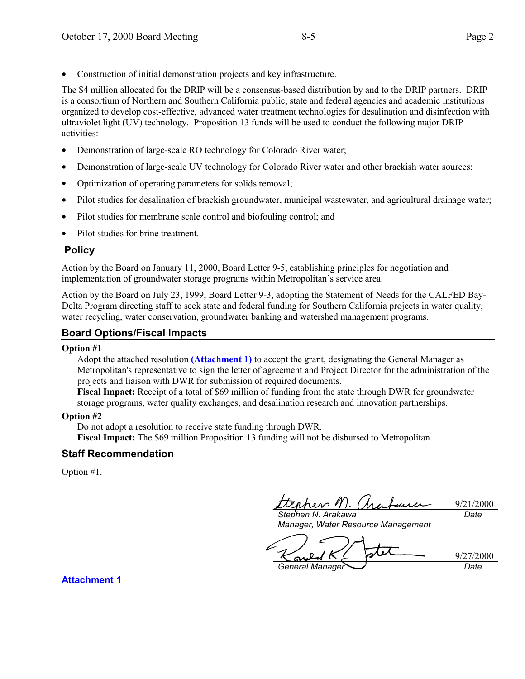• Construction of initial demonstration projects and key infrastructure.

The \$4 million allocated for the DRIP will be a consensus-based distribution by and to the DRIP partners. DRIP is a consortium of Northern and Southern California public, state and federal agencies and academic institutions organized to develop cost-effective, advanced water treatment technologies for desalination and disinfection with ultraviolet light (UV) technology. Proposition 13 funds will be used to conduct the following major DRIP activities:

- Demonstration of large-scale RO technology for Colorado River water;
- Demonstration of large-scale UV technology for Colorado River water and other brackish water sources;
- Optimization of operating parameters for solids removal;
- Pilot studies for desalination of brackish groundwater, municipal wastewater, and agricultural drainage water;
- Pilot studies for membrane scale control and biofouling control; and
- Pilot studies for brine treatment.

# **Policy**

Action by the Board on January 11, 2000, Board Letter 9-5, establishing principles for negotiation and implementation of groundwater storage programs within Metropolitan's service area.

Action by the Board on July 23, 1999, Board Letter 9-3, adopting the Statement of Needs for the CALFED Bay-Delta Program directing staff to seek state and federal funding for Southern California projects in water quality, water recycling, water conservation, groundwater banking and watershed management programs.

# **Board Options/Fiscal Impacts**

#### **Option #1**

Adopt the attached resolution **[\(Attachment 1\)](#page-2-0)** to accept the grant, designating the General Manager as Metropolitan's representative to sign the letter of agreement and Project Director for the administration of the projects and liaison with DWR for submission of required documents.

**Fiscal Impact:** Receipt of a total of \$69 million of funding from the state through DWR for groundwater storage programs, water quality exchanges, and desalination research and innovation partnerships.

#### **Option #2**

Do not adopt a resolution to receive state funding through DWR.

**Fiscal Impact:** The \$69 million Proposition 13 funding will not be disbursed to Metropolitan.

#### **Staff Recommendation**

Option #1.

èrhev M.

9/21/2000 *Date*

*Stephen N. Arakawa Manager, Water Resource Management*

 $\boldsymbol{c}$ 9/27/2000 Sw *General Manager Date*

**Attachment 1**